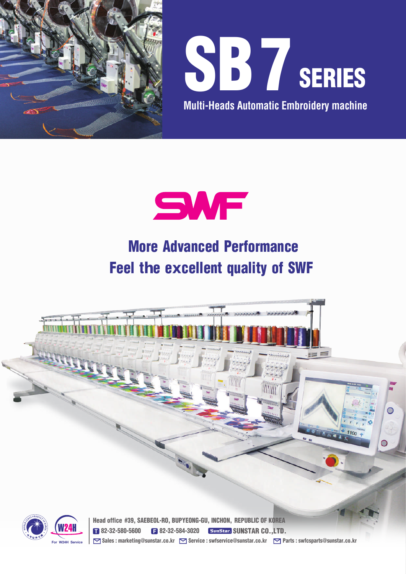

**For W24H Service**



**Multi-Heads Automatic Embroidery machine**



## More Advanced Performance Feel t**h**e e**x**cellent quality of SWF



Sales : marketing@sunstar.co.kr Service : swfservice@sunstar.co.kr Serats : swfcsparts@sunstar.co.kr